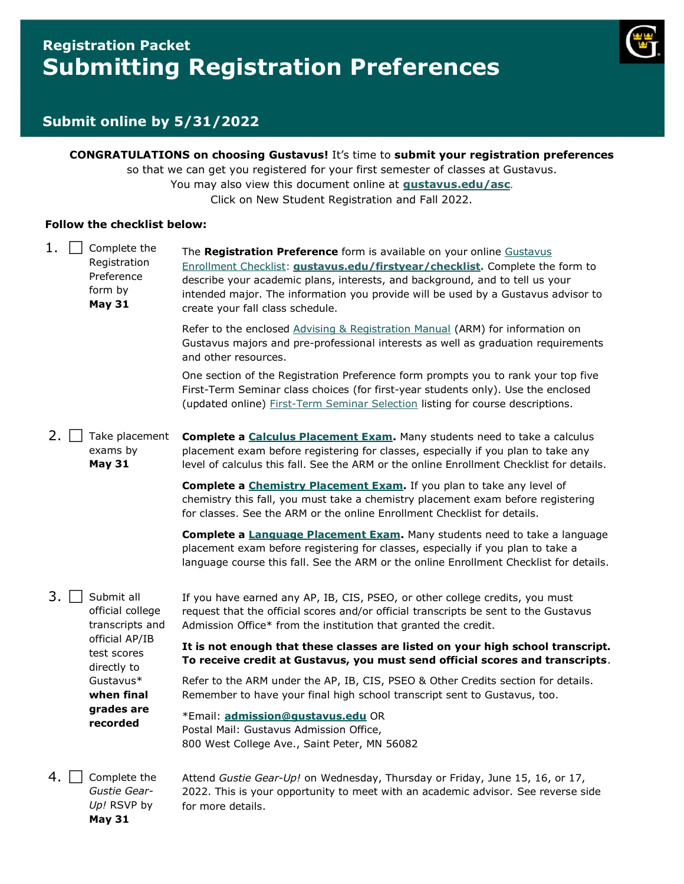# **Registration Packet Submitting Registration Preferences**



### **Submit online by 5/31/2022**

**CONGRATULATIONS on choosing Gustavus!** It's time to **submit your registration preferences** so that we can get you registered for your first semester of classes at Gustavus. You may also view this document online at **[gustavus.edu/asc](https://gustavus.edu/asc/)**. Click on New Student Registration and Fall 2022.

#### **Follow the checklist below:**

**May 31**

| $1. \Box$ | Complete the<br>Registration<br>Preference<br>form by<br><b>May 31</b> | The Registration Preference form is available on your online Gustavus<br>Enrollment Checklist: <b>gustavus.edu/firstyear/checklist</b> . Complete the form to<br>describe your academic plans, interests, and background, and to tell us your<br>intended major. The information you provide will be used by a Gustavus advisor to<br>create your fall class schedule. |
|-----------|------------------------------------------------------------------------|------------------------------------------------------------------------------------------------------------------------------------------------------------------------------------------------------------------------------------------------------------------------------------------------------------------------------------------------------------------------|
|           |                                                                        | Refer to the enclosed Advising & Registration Manual (ARM) for information on<br>Gustavus majors and pre-professional interests as well as graduation requirements<br>and other resources.                                                                                                                                                                             |
|           |                                                                        | One section of the Registration Preference form prompts you to rank your top five<br>First-Term Seminar class choices (for first-year students only). Use the enclosed<br>(updated online) First-Term Seminar Selection listing for course descriptions.                                                                                                               |
| 2. l      | Take placement<br>exams by<br><b>May 31</b>                            | Complete a <b>Calculus Placement Exam.</b> Many students need to take a calculus<br>placement exam before registering for classes, especially if you plan to take any<br>level of calculus this fall. See the ARM or the online Enrollment Checklist for details.                                                                                                      |
|           |                                                                        | Complete a Chemistry Placement Exam. If you plan to take any level of<br>chemistry this fall, you must take a chemistry placement exam before registering<br>for classes. See the ARM or the online Enrollment Checklist for details.                                                                                                                                  |
|           |                                                                        | Complete a <b>Language Placement Exam.</b> Many students need to take a language                                                                                                                                                                                                                                                                                       |
|           |                                                                        | placement exam before registering for classes, especially if you plan to take a<br>language course this fall. See the ARM or the online Enrollment Checklist for details.                                                                                                                                                                                              |
| 3. I      | Submit all<br>official college<br>transcripts and                      | If you have earned any AP, IB, CIS, PSEO, or other college credits, you must<br>request that the official scores and/or official transcripts be sent to the Gustavus<br>Admission Office* from the institution that granted the credit.                                                                                                                                |
|           | official AP/IB<br>test scores                                          | It is not enough that these classes are listed on your high school transcript.<br>To receive credit at Gustavus, you must send official scores and transcripts.                                                                                                                                                                                                        |
|           | directly to<br>Gustavus*<br>when final                                 | Refer to the ARM under the AP, IB, CIS, PSEO & Other Credits section for details.<br>Remember to have your final high school transcript sent to Gustavus, too.                                                                                                                                                                                                         |
|           | grades are<br>recorded                                                 | *Email: admission@qustavus.edu OR<br>Postal Mail: Gustavus Admission Office,<br>800 West College Ave., Saint Peter, MN 56082                                                                                                                                                                                                                                           |